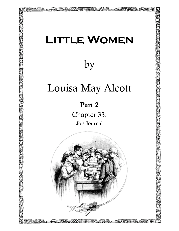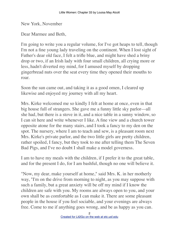New York, November

Dear Marmee and Beth,

I'm going to write you a regular volume, for I've got heaps to tell, though I'm not a fine young lady traveling on the continent. When I lost sight of Father's dear old face, I felt a trifle blue, and might have shed a briny drop or two, if an Irish lady with four small children, all crying more or less, hadn't diverted my mind, for I amused myself by dropping gingerbread nuts over the seat every time they opened their mouths to roar.

Soon the sun came out, and taking it as a good omen, I cleared up likewise and enjoyed my journey with all my heart.

Mrs. Kirke welcomed me so kindly I felt at home at once, even in that big house full of strangers. She gave me a funny little sky parlor––all she had, but there is a stove in it, and a nice table in a sunny window, so I can sit here and write whenever I like. A fine view and a church tower opposite atone for the many stairs, and I took a fancy to my den on the spot. The nursery, where I am to teach and sew, is a pleasant room next Mrs. Kirke's private parlor, and the two little girls are pretty children, rather spoiled, I fancy, but they took to me after telling them The Seven Bad Pigs, and I've no doubt I shall make a model governess.

I am to have my meals with the children, if I prefer it to the great table, and for the present I do, for I am bashful, though no one will believe it.

"Now, my dear, make yourself at home," said Mrs. K. in her motherly way, "I'm on the drive from morning to night, as you may suppose with such a family, but a great anxiety will be off my mind if I know the children are safe with you. My rooms are always open to you, and your own shall be as comfortable as I can make it. There are some pleasant people in the house if you feel sociable, and your evenings are always free. Come to me if anything goes wrong, and be as happy as you can.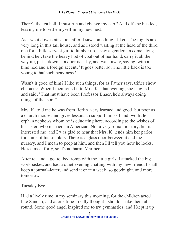There's the tea bell, I must run and change my cap." And off she bustled, leaving me to settle myself in my new nest.

As I went downstairs soon after, I saw something I liked. The flights are very long in this tall house, and as I stood waiting at the head of the third one for a little servant girl to lumber up, I saw a gentleman come along behind her, take the heavy hod of coal out of her hand, carry it all the way up, put it down at a door near by, and walk away, saying, with a kind nod and a foreign accent, "It goes better so. The little back is too young to haf such heaviness."

Wasn't it good of him? I like such things, for as Father says, trifles show character. When I mentioned it to Mrs. K., that evening, she laughed, and said, "That must have been Professor Bhaer, he's always doing things of that sort."

Mrs. K. told me he was from Berlin, very learned and good, but poor as a church mouse, and gives lessons to support himself and two little orphan nephews whom he is educating here, according to the wishes of his sister, who married an American. Not a very romantic story, but it interested me, and I was glad to hear that Mrs. K. lends him her parlor for some of his scholars. There is a glass door between it and the nursery, and I mean to peep at him, and then I'll tell you how he looks. He's almost forty, so it's no harm, Marmee.

After tea and a go–to–bed romp with the little girls, I attacked the big workbasket, and had a quiet evening chatting with my new friend. I shall keep a journal–letter, and send it once a week, so goodnight, and more tomorrow.

Tuesday Eve

Had a lively time in my seminary this morning, for the children acted like Sancho, and at one time I really thought I should shake them all round. Some good angel inspired me to try gymnastics, and I kept it up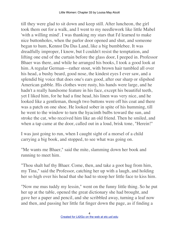till they were glad to sit down and keep still. After luncheon, the girl took them out for a walk, and I went to my needlework like little Mabel 'with a willing mind'. I was thanking my stars that I'd learned to make nice buttonholes, when the parlor door opened and shut, and someone began to hum, Kennst Du Das Land, like a big bumblebee. It was dreadfully improper, I know, but I couldn't resist the temptation, and lifting one end of the curtain before the glass door, I peeped in. Professor Bhaer was there, and while he arranged his books, I took a good look at him. A regular German—rather stout, with brown hair tumbled all over his head, a bushy beard, good nose, the kindest eyes I ever saw, and a splendid big voice that does one's ears good, after our sharp or slipshod American gabble. His clothes were rusty, his hands were large, and he hadn't a really handsome feature in his face, except his beautiful teeth, yet I liked him, for he had a fine head, his linen was very nice, and he looked like a gentleman, though two buttons were off his coat and there was a patch on one shoe. He looked sober in spite of his humming, till he went to the window to turn the hyacinth bulbs toward the sun, and stroke the cat, who received him like an old friend. Then he smiled, and when a tap came at the door, called out in a loud, brisk tone, "Herein!"

I was just going to run, when I caught sight of a morsel of a child carrying a big book, and stopped, to see what was going on.

"Me wants me Bhaer," said the mite, slamming down her book and running to meet him.

"Thou shalt haf thy Bhaer. Come, then, and take a goot hug from him, my Tina," said the Professor, catching her up with a laugh, and holding her so high over his head that she had to stoop her little face to kiss him.

"Now me mus tuddy my lessin," went on the funny little thing. So he put her up at the table, opened the great dictionary she had brought, and gave her a paper and pencil, and she scribbled away, turning a leaf now and then, and passing her little fat finger down the page, as if finding a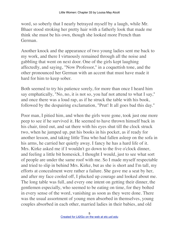word, so soberly that I nearly betrayed myself by a laugh, while Mr. Bhaer stood stroking her pretty hair with a fatherly look that made me think she must be his own, though she looked more French than German.

Another knock and the appearance of two young ladies sent me back to my work, and there I virtuously remained through all the noise and gabbling that went on next door. One of the girls kept laughing affectedly, and saying, "Now Professor," in a coquettish tone, and the other pronounced her German with an accent that must have made it hard for him to keep sober.

Both seemed to try his patience sorely, for more than once I heard him say emphatically, "No, no, it is not so, you haf not attend to what I say," and once there was a loud rap, as if he struck the table with his book, followed by the despairing exclamation, "Prut! It all goes bad this day."

Poor man, I pitied him, and when the girls were gone, took just one more peep to see if he survived it. He seemed to have thrown himself back in his chair, tired out, and sat there with his eyes shut till the clock struck two, when he jumped up, put his books in his pocket, as if ready for another lesson, and taking little Tina who had fallen asleep on the sofa in his arms, he carried her quietly away. I fancy he has a hard life of it. Mrs. Kirke asked me if I wouldn't go down to the five o'clock dinner, and feeling a little bit homesick, I thought I would, just to see what sort of people are under the same roof with me. So I made myself respectable and tried to slip in behind Mrs. Kirke, but as she is short and I'm tall, my efforts at concealment were rather a failure. She gave me a seat by her, and after my face cooled off, I plucked up courage and looked about me. The long table was full, and every one intent on getting their dinner, the gentlemen especially, who seemed to be eating on time, for they bolted in every sense of the word, vanishing as soon as they were done. There was the usual assortment of young men absorbed in themselves, young couples absorbed in each other, married ladies in their babies, and old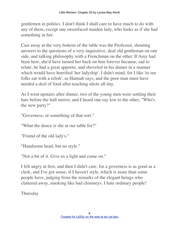gentlemen in politics. I don't think I shall care to have much to do with any of them, except one sweetfaced maiden lady, who looks as if she had something in her.

Cast away at the very bottom of the table was the Professor, shouting answers to the questions of a very inquisitive, deaf old gentleman on one side, and talking philosophy with a Frenchman on the other. If Amy had been here, she'd have turned her back on him forever because, sad to relate, he had a great appetite, and shoveled in his dinner in a manner which would have horrified 'her ladyship'. I didn't mind, for I like 'to see folks eat with a relish', as Hannah says, and the poor man must have needed a deal of food after teaching idiots all day.

As I went upstairs after dinner, two of the young men were settling their hats before the hall mirror, and I heard one say low to the other, "Who's the new party?"

"Governess, or something of that sort."

"What the deuce is she at our table for?"

"Friend of the old lady's."

"Handsome head, but no style."

"Not a bit of it. Give us a light and come on."

I felt angry at first, and then I didn't care, for a governess is as good as a clerk, and I've got sense, if I haven't style, which is more than some people have, judging from the remarks of the elegant beings who clattered away, smoking like bad chimneys. I hate ordinary people!

Thursday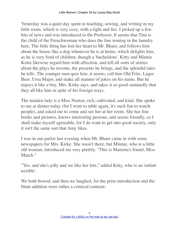Yesterday was a quiet day spent in teaching, sewing, and writing in my little room, which is very cozy, with a light and fire. I picked up a few bits of news and was introduced to the Professor. It seems that Tina is the child of the Frenchwoman who does the fine ironing in the laundry here. The little thing has lost her heart to Mr. Bhaer, and follows him about the house like a dog whenever he is at home, which delights him, as he is very fond of children, though a 'bacheldore'. Kitty and Minnie Kirke likewise regard him with affection, and tell all sorts of stories about the plays he invents, the presents he brings, and the splendid tales he tells. The younger men quiz him, it seems, call him Old Fritz, Lager Beer, Ursa Major, and make all manner of jokes on his name. But he enjoys it like a boy, Mrs. Kirke says, and takes it so good–naturedly that they all like him in spite of his foreign ways.

The maiden lady is a Miss Norton, rich, cultivated, and kind. She spoke to me at dinner today (for I went to table again, it's such fun to watch people), and asked me to come and see her at her room. She has fine books and pictures, knows interesting persons, and seems friendly, so I shall make myself agreeable, for I do want to get into good society, only it isn't the same sort that Amy likes.

I was in our parlor last evening when Mr. Bhaer came in with some newspapers for Mrs. Kirke. She wasn't there, but Minnie, who is a little old woman, introduced me very prettily. "This is Mamma's friend, Miss March."

"Yes, and she's jolly and we like her lots," added Kitty, who is an 'enfant terrible'.

We both bowed, and then we laughed, for the prim introduction and the blunt addition were rather a comical contrast.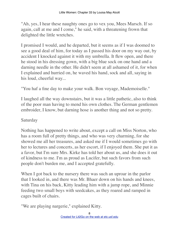"Ah, yes, I hear these naughty ones go to vex you, Mees Marsch. If so again, call at me and I come," he said, with a threatening frown that delighted the little wretches.

I promised I would, and he departed, but it seems as if I was doomed to see a good deal of him, for today as I passed his door on my way out, by accident I knocked against it with my umbrella. It flew open, and there he stood in his dressing gown, with a big blue sock on one hand and a darning needle in the other. He didn't seem at all ashamed of it, for when I explained and hurried on, he waved his hand, sock and all, saying in his loud, cheerful way...

"You haf a fine day to make your walk. Bon voyage, Mademoiselle."

I laughed all the way downstairs, but it was a little pathetic, also to think of the poor man having to mend his own clothes. The German gentlemen embroider, I know, but darning hose is another thing and not so pretty.

## Saturday

Nothing has happened to write about, except a call on Miss Norton, who has a room full of pretty things, and who was very charming, for she showed me all her treasures, and asked me if I would sometimes go with her to lectures and concerts, as her escort, if I enjoyed them. She put it as a favor, but I'm sure Mrs. Kirke has told her about us, and she does it out of kindness to me. I'm as proud as Lucifer, but such favors from such people don't burden me, and I accepted gratefully.

When I got back to the nursery there was such an uproar in the parlor that I looked in, and there was Mr. Bhaer down on his hands and knees, with Tina on his back, Kitty leading him with a jump rope, and Minnie feeding two small boys with seedcakes, as they roared and ramped in cages built of chairs.

"We are playing nargerie," explained Kitty.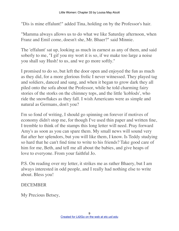"Dis is mine effalunt!" added Tina, holding on by the Professor's hair.

"Mamma always allows us to do what we like Saturday afternoon, when Franz and Emil come, doesn't she, Mr. Bhaer?" said Minnie.

The 'effalunt' sat up, looking as much in earnest as any of them, and said soberly to me, "I gif you my wort it is so, if we make too large a noise you shall say Hush! to us, and we go more softly."

I promised to do so, but left the door open and enjoyed the fun as much as they did, for a more glorious frolic I never witnessed. They played tag and soldiers, danced and sang, and when it began to grow dark they all piled onto the sofa about the Professor, while he told charming fairy stories of the storks on the chimney tops, and the little 'koblods', who ride the snowflakes as they fall. I wish Americans were as simple and natural as Germans, don't you?

I'm so fond of writing, I should go spinning on forever if motives of economy didn't stop me, for though I've used thin paper and written fine, I tremble to think of the stamps this long letter will need. Pray forward Amy's as soon as you can spare them. My small news will sound very flat after her splendors, but you will like them, I know. Is Teddy studying so hard that he can't find time to write to his friends? Take good care of him for me, Beth, and tell me all about the babies, and give heaps of love to everyone. From your faithful Jo.

P.S. On reading over my letter, it strikes me as rather Bhaery, but I am always interested in odd people, and I really had nothing else to write about. Bless you!

## **DECEMBER**

My Precious Betsey,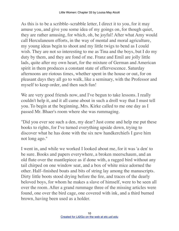As this is to be a scribble–scrabble letter, I direct it to you, for it may amuse you, and give you some idea of my goings on, for though quiet, they are rather amusing, for which, oh, be joyful! After what Amy would call Herculaneum efforts, in the way of mental and moral agriculture, my young ideas begin to shoot and my little twigs to bend as I could wish. They are not so interesting to me as Tina and the boys, but I do my duty by them, and they are fond of me. Franz and Emil are jolly little lads, quite after my own heart, for the mixture of German and American spirit in them produces a constant state of effervescence. Saturday afternoons are riotous times, whether spent in the house or out, for on pleasant days they all go to walk, like a seminary, with the Professor and myself to keep order, and then such fun!

We are very good friends now, and I've begun to take lessons. I really couldn't help it, and it all came about in such a droll way that I must tell you. To begin at the beginning, Mrs. Kirke called to me one day as I passed Mr. Bhaer's room where she was rummaging.

"Did you ever see such a den, my dear? Just come and help me put these books to rights, for I've turned everything upside down, trying to discover what he has done with the six new handkerchiefs I gave him not long ago."

I went in, and while we worked I looked about me, for it was 'a den' to be sure. Books and papers everywhere, a broken meerschaum, and an old flute over the mantlepiece as if done with, a ragged bird without any tail chirped on one window seat, and a box of white mice adorned the other. Half–finished boats and bits of string lay among the manuscripts. Dirty little boots stood drying before the fire, and traces of the dearly beloved boys, for whom he makes a slave of himself, were to be seen all over the room. After a grand rummage three of the missing articles were found, one over the bird cage, one covered with ink, and a third burned brown, having been used as a holder.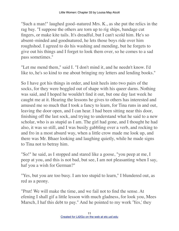"Such a man!" laughed good–natured Mrs. K., as she put the relics in the rag bay. "I suppose the others are torn up to rig ships, bandage cut fingers, or make kite tails. It's dreadful, but I can't scold him. He's so absent–minded and goodnatured, he lets those boys ride over him roughshod. I agreed to do his washing and mending, but he forgets to give out his things and I forget to look them over, so he comes to a sad pass sometimes."

"Let me mend them," said I. "I don't mind it, and he needn't know. I'd like to, he's so kind to me about bringing my letters and lending books."

So I have got his things in order, and knit heels into two pairs of the socks, for they were boggled out of shape with his queer darns. Nothing was said, and I hoped he wouldn't find it out, but one day last week he caught me at it. Hearing the lessons he gives to others has interested and amused me so much that I took a fancy to learn, for Tina runs in and out, leaving the door open, and I can hear. I had been sitting near this door, finishing off the last sock, and trying to understand what he said to a new scholar, who is as stupid as I am. The girl had gone, and I thought he had also, it was so still, and I was busily gabbling over a verb, and rocking to and fro in a most absurd way, when a little crow made me look up, and there was Mr. Bhaer looking and laughing quietly, while he made signs to Tina not to betray him.

"So!" he said, as I stopped and stared like a goose, "you peep at me, I peep at you, and this is not bad, but see, I am not pleasanting when I say, haf you a wish for German?"

"Yes, but you are too busy. I am too stupid to learn," I blundered out, as red as a peony.

"Prut! We will make the time, and we fail not to find the sense. At efening I shall gif a little lesson with much gladness, for look you, Mees Marsch, I haf this debt to pay." And he pointed to my work 'Yes,' they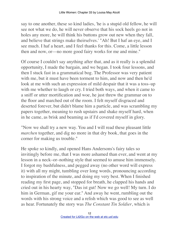say to one another, these so kind ladies, 'he is a stupid old fellow, he will see not what we do, he will never observe that his sock heels go not in holes any more, he will think his buttons grow out new when they fall, and believe that strings make theirselves.' "Ah! But I haf an eye, and I see much. I haf a heart, and I feel thanks for this. Come, a little lesson then and now, or––no more good fairy works for me and mine."

Of course I couldn't say anything after that, and as it really is a splendid opportunity, I made the bargain, and we began. I took four lessons, and then I stuck fast in a grammatical bog. The Professor was very patient with me, but it must have been torment to him, and now and then he'd look at me with such an expression of mild despair that it was a toss–up with me whether to laugh or cry. I tried both ways, and when it came to a sniff or utter mortification and woe, he just threw the grammar on to the floor and marched out of the room. I felt myself disgraced and deserted forever, but didn't blame him a particle, and was scrambling my papers together, meaning to rush upstairs and shake myself hard, when in he came, as brisk and beaming as if I'd covered myself in glory.

"Now we shall try a new way. You and I will read these pleasant little *marchen* together, and dig no more in that dry book, that goes in the corner for making us trouble."

He spoke so kindly, and opened Hans Andersons's fairy tales so invitingly before me, that I was more ashamed than ever, and went at my lesson in a neck–or–nothing style that seemed to amuse him immensely. I forgot my bashfulness, and pegged away (no other word will express it) with all my might, tumbling over long words, pronouncing according to inspiration of the minute, and doing my very best. When I finished reading my first page, and stopped for breath, he clapped his hands and cried out in his hearty way, "Das ist gut! Now we go well! My turn. I do him in German, gif me your ear." And away he went, rumbling out the words with his strong voice and a relish which was good to see as well as hear. Fortunately the story was *The Constant Tin Soldier*, which is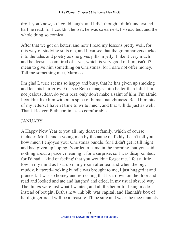droll, you know, so I could laugh, and I did, though I didn't understand half he read, for I couldn't help it, he was so earnest, I so excited, and the whole thing so comical.

After that we got on better, and now I read my lessons pretty well, for this way of studying suits me, and I can see that the grammar gets tucked into the tales and poetry as one gives pills in jelly. I like it very much, and he doesn't seem tired of it yet, which is very good of him, isn't it? I mean to give him something on Christmas, for I dare not offer money. Tell me something nice, Marmee.

I'm glad Laurie seems so happy and busy, that he has given up smoking and lets his hair grow. You see Beth manages him better than I did. I'm not jealous, dear, do your best, only don't make a saint of him. I'm afraid I couldn't like him without a spice of human naughtiness. Read him bits of my letters. I haven't time to write much, and that will do just as well. Thank Heaven Beth continues so comfortable.

## JANUARY

A Happy New Year to you all, my dearest family, which of course includes Mr. L. and a young man by the name of Teddy. I can't tell you how much I enjoyed your Christmas bundle, for I didn't get it till night and had given up hoping. Your letter came in the morning, but you said nothing about a parcel, meaning it for a surprise, so I was disappointed, for I'd had a 'kind of feeling' that you wouldn't forget me. I felt a little low in my mind as I sat up in my room after tea, and when the big, muddy, battered–looking bundle was brought to me, I just hugged it and pranced. It was so homey and refreshing that I sat down on the floor and read and looked and ate and laughed and cried, in my usual absurd way. The things were just what I wanted, and all the better for being made instead of bought. Beth's new 'ink bib' was capital, and Hannah's box of hard gingerbread will be a treasure. I'll be sure and wear the nice flannels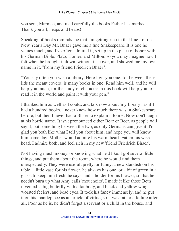you sent, Marmee, and read carefully the books Father has marked. Thank you all, heaps and heaps!

Speaking of books reminds me that I'm getting rich in that line, for on New Year's Day Mr. Bhaer gave me a fine Shakespeare. It is one he values much, and I've often admired it, set up in the place of honor with his German Bible, Plato, Homer, and Milton, so you may imagine how I felt when he brought it down, without its cover, and showed me my own name in it, "from my friend Friedrich Bhaer".

"You say often you wish a library. Here I gif you one, for between these lids (he meant covers) is many books in one. Read him well, and he will help you much, for the study of character in this book will help you to read it in the world and paint it with your pen."

I thanked him as well as I could, and talk now about 'my library', as if I had a hundred books. I never knew how much there was in Shakespeare before, but then I never had a Bhaer to explain it to me. Now don't laugh at his horrid name. It isn't pronounced either Bear or Beer, as people will say it, but something between the two, as only Germans can give it. I'm glad you both like what I tell you about him, and hope you will know him some day. Mother would admire his warm heart, Father his wise head. I admire both, and feel rich in my new 'friend Friedrich Bhaer'.

Not having much money, or knowing what he'd like, I got several little things, and put them about the room, where he would find them unexpectedly. They were useful, pretty, or funny, a new standish on his table, a little vase for his flower, he always has one, or a bit of green in a glass, to keep him fresh, he says, and a holder for his blower, so that he needn't burn up what Amy calls 'mouchoirs'. I made it like those Beth invented, a big butterfly with a fat body, and black and yellow wings, worsted feelers, and bead eyes. It took his fancy immensely, and he put it on his mantlepiece as an article of virtue, so it was rather a failure after all. Poor as he is, he didn't forget a servant or a child in the house, and